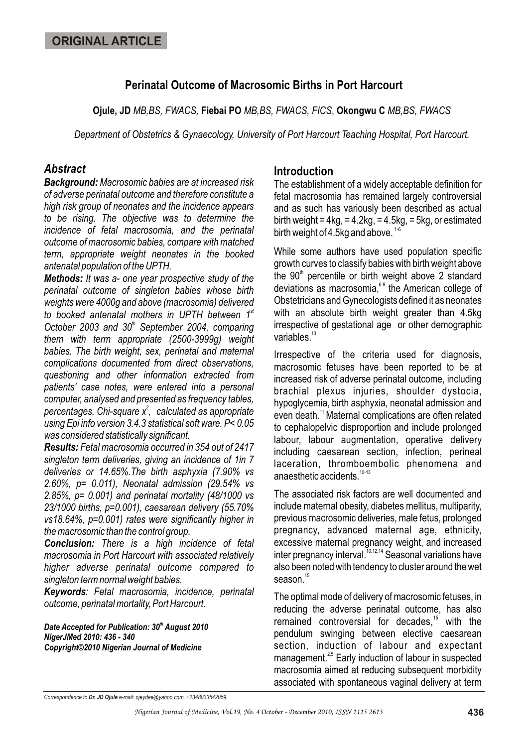## **Perinatal Outcome of Macrosomic Births in Port Harcourt**

**Ojule, JD** *MB,BS, FWACS,* **Fiebai PO** *MB,BS, FWACS, FICS*, **Okongwu C** *MB,BS, FWACS*

*Department of Obstetrics & Gynaecology, University of Port Harcourt Teaching Hospital, Port Harcourt.*

## *Abstract*

*Background: Macrosomic babies are at increased risk of adverse perinatal outcome and therefore constitute a high risk group of neonates and the incidence appears to be rising. The objective was to determine the incidence of fetal macrosomia, and the perinatal outcome of macrosomic babies, compare with matched term, appropriate weight neonates in the booked antenatal population of the UPTH.*

*Methods: It was a- one year prospective study of the perinatal outcome of singleton babies whose birth weights were 4000g and above (macrosomia) delivered st to booked antenatal mothers in UPTH between 1* October 2003 and 30<sup>th</sup> September 2004, comparing *them with term appropriate (2500-3999g) weight babies. The birth weight, sex, perinatal and maternal complications documented from direct observations, questioning and other information extracted from patients' case notes, were entered into a personal computer, analysed and presented as frequency tables, 2 percentages, Chi-square x , calculated as appropriate using Epi info version 3.4.3 statistical soft ware. P< 0.05 was considered statistically significant.* 

*Results: Fetal macrosomia occurred in 354 out of 2417 singleton term deliveries, giving an incidence of 1in 7 deliveries or 14.65%.The birth asphyxia (7.90% vs 2.60%, p= 0.011), Neonatal admission (29.54% vs 2.85%, p= 0.001) and perinatal mortality (48/1000 vs 23/1000 births, p=0.001), caesarean delivery (55.70% vs18.64%, p=0.001) rates were significantly higher in the macrosomic than the control group.* 

*Conclusion: There is a high incidence of fetal macrosomia in Port Harcourt with associated relatively higher adverse perinatal outcome compared to singleton term normal weight babies.*

*Keywords: Fetal macrosomia, incidence, perinatal outcome, perinatal mortality, Port Harcourt.*

*th Date Accepted for Publication: 30 August 2010 NigerJMed 2010: 436 - 340 Copyright©2010 Nigerian Journal of Medicine*

#### **Introduction**

The establishment of a widely acceptable definition for fetal macrosomia has remained largely controversial and as such has variously been described as actual birth weight =  $4kg$ , =  $4.2kg$ , =  $4.5kg$ , =  $5kg$ , or estimated birth weight of 4.5kg and above.  $1-6$ 

While some authors have used population specific growth curves to classify babies with birth weight above the  $90<sup>th</sup>$  percentile or birth weight above 2 standard deviations as macrosomia, $69$  the American college of Obstetricians and Gynecologists defined it as neonates with an absolute birth weight greater than 4.5kg irrespective of gestational age or other demographic  $variable<sup>10</sup>$ 

Irrespective of the criteria used for diagnosis, macrosomic fetuses have been reported to be at increased risk of adverse perinatal outcome, including brachial plexus injuries, shoulder dystocia, hypoglycemia, birth asphyxia, neonatal admission and even death.<sup>11</sup> Maternal complications are often related to cephalopelvic disproportion and include prolonged labour, labour augmentation, operative delivery including caesarean section, infection, perineal laceration, thromboembolic phenomena and anaesthetic accidents.<sup>10-13</sup>

The associated risk factors are well documented and include maternal obesity, diabetes mellitus, multiparity, previous macrosomic deliveries, male fetus, prolonged pregnancy, advanced maternal age, ethnicity, excessive maternal pregnancy weight, and increased  $\frac{10,12,14}{10,12,14}$  Seasonal variations have also been noted with tendency to cluster around the wet season.<sup>15</sup>

The optimal mode of delivery of macrosomic fetuses, in reducing the adverse perinatal outcome, has also remained controversial for decades,<sup>15</sup> with the pendulum swinging between elective caesarean section, induction of labour and expectant management.<sup>2,5</sup> Early induction of labour in suspected macrosomia aimed at reducing subsequent morbidity associated with spontaneous vaginal delivery at term

*Correspondence to Dr. JD Ojule e-mail: ojeydee@yahoo.com, +2348033542059,*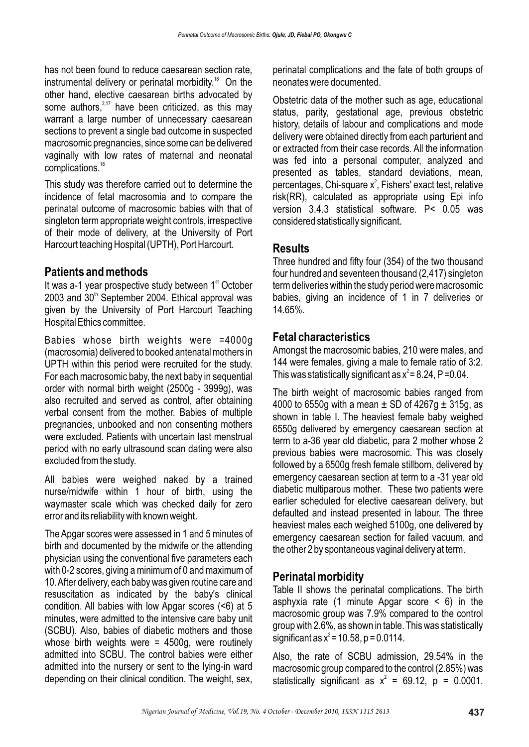has not been found to reduce caesarean section rate, instrumental delivery or perinatal morbidity.<sup>16</sup> On the other hand, elective caesarean births advocated by some authors,  $2.17$  have been criticized, as this may warrant a large number of unnecessary caesarean sections to prevent a single bad outcome in suspected macrosomic pregnancies, since some can be delivered vaginally with low rates of maternal and neonatal complications.<sup>18</sup>

This study was therefore carried out to determine the incidence of fetal macrosomia and to compare the perinatal outcome of macrosomic babies with that of singleton term appropriate weight controls, irrespective of their mode of delivery, at the University of Port Harcourt teaching Hospital (UPTH), Port Harcourt.

# **Patients and methods**

It was a-1 year prospective study between  $1<sup>st</sup>$  October  $2003$  and  $30<sup>th</sup>$  September 2004. Ethical approval was given by the University of Port Harcourt Teaching Hospital Ethics committee.

Babies whose birth weights were =4000g (macrosomia) delivered to booked antenatal mothers in UPTH within this period were recruited for the study. For each macrosomic baby, the next baby in sequential order with normal birth weight (2500g - 3999g), was also recruited and served as control, after obtaining verbal consent from the mother. Babies of multiple pregnancies, unbooked and non consenting mothers were excluded. Patients with uncertain last menstrual period with no early ultrasound scan dating were also excluded from the study.

All babies were weighed naked by a trained nurse/midwife within 1 hour of birth, using the waymaster scale which was checked daily for zero error and its reliability with known weight.

The Apgar scores were assessed in 1 and 5 minutes of birth and documented by the midwife or the attending physician using the conventional five parameters each with 0-2 scores, giving a minimum of 0 and maximum of 10. After delivery, each baby was given routine care and resuscitation as indicated by the baby's clinical condition. All babies with low Apgar scores (<6) at 5 minutes, were admitted to the intensive care baby unit (SCBU). Also, babies of diabetic mothers and those whose birth weights were  $= 4500g$ , were routinely admitted into SCBU. The control babies were either admitted into the nursery or sent to the lying-in ward depending on their clinical condition. The weight, sex, perinatal complications and the fate of both groups of neonates were documented.

Obstetric data of the mother such as age, educational status, parity, gestational age, previous obstetric history, details of labour and complications and mode delivery were obtained directly from each parturient and or extracted from their case records. All the information was fed into a personal computer, analyzed and presented as tables, standard deviations, mean, percentages, Chi-square  $x^2$ , Fishers' exact test, relative risk(RR), calculated as appropriate using Epi info version 3.4.3 statistical software. P< 0.05 was considered statistically significant.

#### **Results**

Three hundred and fifty four (354) of the two thousand four hundred and seventeen thousand (2,417) singleton term deliveries within the study period were macrosomic babies, giving an incidence of 1 in 7 deliveries or 14.65%.

# **Fetal characteristics**

Amongst the macrosomic babies, 210 were males, and 144 were females, giving a male to female ratio of 3:2. This was statistically significant as  $x^2 = 8.24$ , P = 0.04.

The birth weight of macrosomic babies ranged from 4000 to 6550g with a mean  $\pm$  SD of 4267g  $\pm$  315g, as shown in table I. The heaviest female baby weighed 6550g delivered by emergency caesarean section at term to a-36 year old diabetic, para 2 mother whose 2 previous babies were macrosomic. This was closely followed by a 6500g fresh female stillborn, delivered by emergency caesarean section at term to a -31 year old diabetic multiparous mother. These two patients were earlier scheduled for elective caesarean delivery, but defaulted and instead presented in labour. The three heaviest males each weighed 5100g, one delivered by emergency caesarean section for failed vacuum, and the other 2 by spontaneous vaginal delivery at term.

## **Perinatal morbidity**

Table II shows the perinatal complications. The birth asphyxia rate (1 minute Apgar score  $\leq 6$ ) in the macrosomic group was 7.9% compared to the control group with 2.6%, as shown in table. This was statistically significant as  $x^2$  = 10.58, p = 0.0114.

Also, the rate of SCBU admission, 29.54% in the macrosomic group compared to the control (2.85%) was statistically significant as  $x^2 = 69.12$ , p = 0.0001.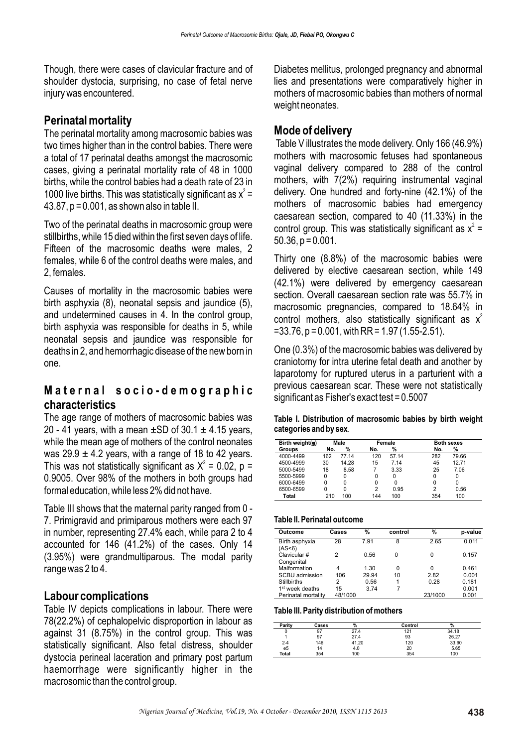Though, there were cases of clavicular fracture and of shoulder dystocia, surprising, no case of fetal nerve injury was encountered.

## **Perinatal mortality**

The perinatal mortality among macrosomic babies was two times higher than in the control babies. There were a total of 17 perinatal deaths amongst the macrosomic cases, giving a perinatal mortality rate of 48 in 1000 births, while the control babies had a death rate of 23 in 1000 live births. This was statistically significant as  $x^2 =$ 43.87, p = 0.001, as shown also in table II.

Two of the perinatal deaths in macrosomic group were stillbirths, while 15 died within the first seven days of life. Fifteen of the macrosomic deaths were males, 2 females, while 6 of the control deaths were males, and 2, females.

Causes of mortality in the macrosomic babies were birth asphyxia (8), neonatal sepsis and jaundice (5), and undetermined causes in 4. In the control group, birth asphyxia was responsible for deaths in 5, while neonatal sepsis and jaundice was responsible for deaths in 2, and hemorrhagic disease of the new born in one.

## **Maternal socio-demographic characteristics**

The age range of mothers of macrosomic babies was 20 - 41 years, with a mean  $\pm$ SD of 30.1  $\pm$  4.15 years, while the mean age of mothers of the control neonates was  $29.9 \pm 4.2$  years, with a range of 18 to 42 years. This was not statistically significant as  $X^2 = 0.02$ , p = 0.9005. Over 98% of the mothers in both groups had formal education, while less 2% did not have.

Table III shows that the maternal parity ranged from 0 - 7. Primigravid and primiparous mothers were each 97 in number, representing 27.4% each, while para 2 to 4 accounted for 146 (41.2%) of the cases. Only 14 (3.95%) were grandmultiparous. The modal parity range was 2 to 4.

## **Labour complications**

Table IV depicts complications in labour. There were 78(22.2%) of cephalopelvic disproportion in labour as against 31 (8.75%) in the control group. This was statistically significant. Also fetal distress, shoulder dystocia perineal laceration and primary post partum haemorrhage were significantly higher in the macrosomic than the control group.

Diabetes mellitus, prolonged pregnancy and abnormal lies and presentations were comparatively higher in mothers of macrosomic babies than mothers of normal weight neonates.

# **Mode of delivery**

Table V illustrates the mode delivery. Only 166 (46.9%) mothers with macrosomic fetuses had spontaneous vaginal delivery compared to 288 of the control mothers, with 7(2%) requiring instrumental vaginal delivery. One hundred and forty-nine (42.1%) of the mothers of macrosomic babies had emergency caesarean section, compared to 40 (11.33%) in the control group. This was statistically significant as  $x^2 =$  $50.36$ ,  $p = 0.001$ .

Thirty one (8.8%) of the macrosomic babies were delivered by elective caesarean section, while 149 (42.1%) were delivered by emergency caesarean section. Overall caesarean section rate was 55.7% in macrosomic pregnancies, compared to 18.64% in control mothers, also statistically significant as  $x^2$  $=$  33.76, p = 0.001, with RR = 1.97 (1.55-2.51).

One (0.3%) of the macrosomic babies was delivered by craniotomy for intra uterine fetal death and another by laparotomy for ruptured uterus in a parturient with a previous caesarean scar. These were not statistically significant as Fisher's exact test = 0.5007

**Table I. Distribution of macrosomic babies by birth weight categories and by sex**.

| Birth weight(g) | Male |       | Female         |       | <b>Both sexes</b> |       |
|-----------------|------|-------|----------------|-------|-------------------|-------|
| Groups          | No.  | %     | No.            | %     | %<br>No.          |       |
| 4000-4499       | 162  | 77.14 | 120            | 57.14 | 282               | 79.66 |
| 4500-4999       | 30   | 14.28 | 15             | 7.14  | 45                | 12.71 |
| 5000-5499       | 18   | 8.58  |                | 3.33  | 25                | 7.06  |
| 5500-5999       | 0    | 0     | 0              | 0     | 0<br>0            |       |
| 6000-6499       | 0    | O     | 0              | ŋ     | 0<br>ŋ            |       |
| 6500-6599       | 0    | 0     | $\overline{2}$ | 0.95  | 2                 | 0.56  |
| Total           | 210  | 100   | 144            | 100   | 354               | 100   |

**Table II. Perinatal outcome**

| Outcome                              | Cases   | %     | control | %       | p-value |
|--------------------------------------|---------|-------|---------|---------|---------|
| Birth asphyxia<br>(AS <sub>6</sub> ) | 28      | 7.91  | 8       | 2.65    | 0.011   |
| Clavicular #<br>Congenital           | 2       | 0.56  | O       | 0       | 0.157   |
| Malformation                         | 4       | 1.30  | 0       | 0       | 0.461   |
| SCBU admission                       | 106     | 29.94 | 10      | 2.82    | 0.001   |
| <b>Stillbirths</b>                   | 2       | 0.56  | 1       | 0.28    | 0.181   |
| 1 <sup>st</sup> week deaths          | 15      | 3.74  | 7       |         | 0.001   |
| Perinatal mortality                  | 48/1000 |       |         | 23/1000 | 0.001   |

#### **Table III. Parity distribution of mothers**

| Parity  | Cases | %     | Control | $\mathbf{a}$ |
|---------|-------|-------|---------|--------------|
|         | 97    | 27.4  | 121     | 34.18        |
|         | 97    | 27.4  | 93      | 26.27        |
| $2 - 4$ | 146   | 41.20 | 120     | 33.90        |
| e5      | 14    | 4.0   | 20      | 5.65         |
| Total   | 354   | 100   | 354     | 100          |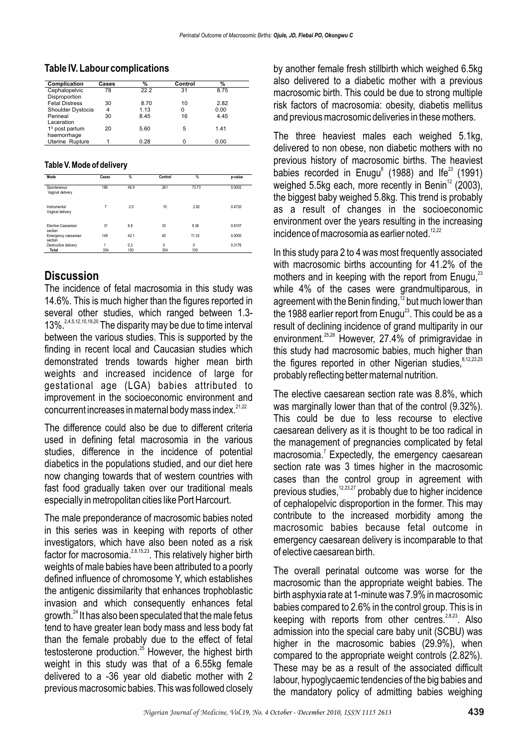#### **Table IV. Labour complications**

| Complication          | Cases | %    | Control | %    |  |
|-----------------------|-------|------|---------|------|--|
| Cephalopelvic         | 78    | 22.2 | 31      | 8.75 |  |
| Disproportion         |       |      |         |      |  |
| <b>Fetal Distress</b> | 30    | 8.70 | 10      | 2.82 |  |
| Shoulder Dystocia     | 4     | 1.13 | 0       | 0.00 |  |
| Perineal              | 30    | 8.45 | 16      | 4.45 |  |
| Laceration            |       |      |         |      |  |
| $10$ post partum      | 20    | 5.60 | 5       | 1.41 |  |
| haemorrhage           |       |      |         |      |  |
| Uterine Rupture       |       | 0.28 | O       | 0.00 |  |

#### **Table V. Mode of delivery**

| Mode                                 | Cases    | %          | Control         | %               | p-value |
|--------------------------------------|----------|------------|-----------------|-----------------|---------|
| Spontaneous<br>Vaginal delivery      | 166      | 46.9       | 261             | 73.73           | 0.0002  |
| Instrumental<br>Vaginal delivery     | 7        | 2.0        | 10              | 2.82            | 0.4720  |
| <b>Elective Caesarean</b><br>section | 31       | 8.8        | 33              | 9.38            | 0.8107  |
| Emergency caesarean<br>section       | 149      | 42.1       | 40              | 11.33           | 0.0000  |
| Destructive delivery<br>Total        | 1<br>354 | 0.3<br>100 | $\Omega$<br>354 | $\theta$<br>100 | 0.3176  |

## **Discussion**

The incidence of fetal macrosomia in this study was 14.6%. This is much higher than the figures reported in several other studies, which ranged between 1.3-  $13\%$ <sup>2,4,5,12,15,19,20</sup> The disparity may be due to time interval between the various studies. This is supported by the finding in recent local and Caucasian studies which demonstrated trends towards higher mean birth weights and increased incidence of large for gestational age (LGA) babies attributed to improvement in the socioeconomic environment and concurrent increases in maternal body mass index.<sup>21,22</sup>

The difference could also be due to different criteria used in defining fetal macrosomia in the various studies, difference in the incidence of potential diabetics in the populations studied, and our diet here now changing towards that of western countries with fast food gradually taken over our traditional meals especially in metropolitan cities like Port Harcourt.

The male preponderance of macrosomic babies noted in this series was in keeping with reports of other investigators, which have also been noted as a risk factor for macrosomia.<sup>28,15,23</sup>. This relatively higher birth weights of male babies have been attributed to a poorly defined influence of chromosome Y, which establishes the antigenic dissimilarity that enhances trophoblastic invasion and which consequently enhances fetal growth. $^{24}$  It has also been speculated that the male fetus tend to have greater lean body mass and less body fat than the female probably due to the effect of fetal testosterone production.<sup>25</sup> However, the highest birth weight in this study was that of a 6.55kg female delivered to a -36 year old diabetic mother with 2 previous macrosomic babies. This was followed closely

by another female fresh stillbirth which weighed 6.5kg also delivered to a diabetic mother with a previous macrosomic birth. This could be due to strong multiple risk factors of macrosomia: obesity, diabetis mellitus and previous macrosomic deliveries in these mothers.

The three heaviest males each weighed 5.1kg, delivered to non obese, non diabetic mothers with no previous history of macrosomic births. The heaviest babies recorded in Enugu<sup>8</sup> (1988) and Ife<sup>23</sup> (1991) weighed 5.5kg each, more recently in Benin $12$  (2003), the biggest baby weighed 5.8kg. This trend is probably as a result of changes in the socioeconomic environment over the years resulting in the increasing incidence of macrosomia as earlier noted.<sup>12,22</sup>

In this study para 2 to 4 was most frequently associated with macrosomic births accounting for 41.2% of the mothers and in keeping with the report from Enugu, $^{23}$ while 4% of the cases were grandmultiparous, in agreement with the Benin finding,<sup>12</sup> but much lower than the 1988 earlier report from Enugu<sup>23</sup>. This could be as a result of declining incidence of grand multiparity in our environment.  $25,26$  However, 27.4% of primigravidae in this study had macrosomic babies, much higher than the figures reported in other Nigerian studies.<sup>8,12,23,25</sup> probably reflecting better maternal nutrition.

The elective caesarean section rate was 8.8%, which was marginally lower than that of the control (9.32%). This could be due to less recourse to elective caesarean delivery as it is thought to be too radical in the management of pregnancies complicated by fetal  $m$ acrosomia.<sup>7</sup> Expectedly, the emergency caesarean section rate was 3 times higher in the macrosomic cases than the control group in agreement with previous studies,  $12,23,27$  probably due to higher incidence of cephalopelvic disproportion in the former. This may contribute to the increased morbidity among the macrosomic babies because fetal outcome in emergency caesarean delivery is incomparable to that of elective caesarean birth.

The overall perinatal outcome was worse for the macrosomic than the appropriate weight babies. The birth asphyxia rate at 1-minute was 7.9% in macrosomic babies compared to 2.6% in the control group. This is in keeping with reports from other centres.  $28,23$ . Also admission into the special care baby unit (SCBU) was higher in the macrosomic babies (29.9%), when compared to the appropriate weight controls (2.82%). These may be as a result of the associated difficult labour, hypoglycaemic tendencies of the big babies and the mandatory policy of admitting babies weighing